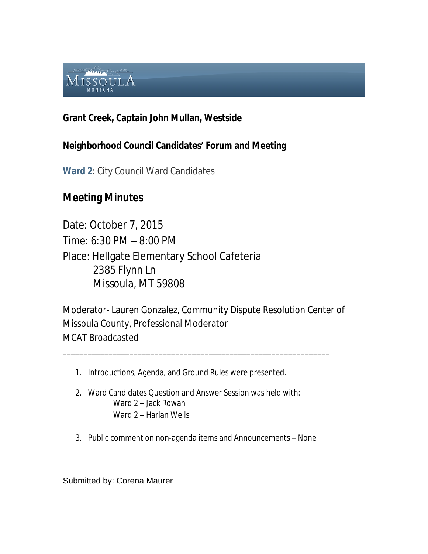

## **Grant Creek, Captain John Mullan, Westside**

## **Neighborhood Council Candidates' Forum and Meeting**

**Ward 2**: City Council Ward Candidates

## **Meeting Minutes**

Date: October 7, 2015 Time: 6:30 PM – 8:00 PM Place: Hellgate Elementary School Cafeteria 2385 Flynn Ln Missoula, MT 59808

Moderator- Lauren Gonzalez, Community Dispute Resolution Center of Missoula County, Professional Moderator MCAT Broadcasted

\_\_\_\_\_\_\_\_\_\_\_\_\_\_\_\_\_\_\_\_\_\_\_\_\_\_\_\_\_\_\_\_\_\_\_\_\_\_\_\_\_\_\_\_\_\_\_\_\_\_\_\_\_\_\_\_\_\_\_\_\_\_\_\_

- 1. Introductions, Agenda, and Ground Rules were presented.
- 2. Ward Candidates Question and Answer Session was held with: Ward 2 – Jack Rowan Ward 2 – Harlan Wells
- 3. Public comment on non-agenda items and Announcements None

Submitted by: Corena Maurer